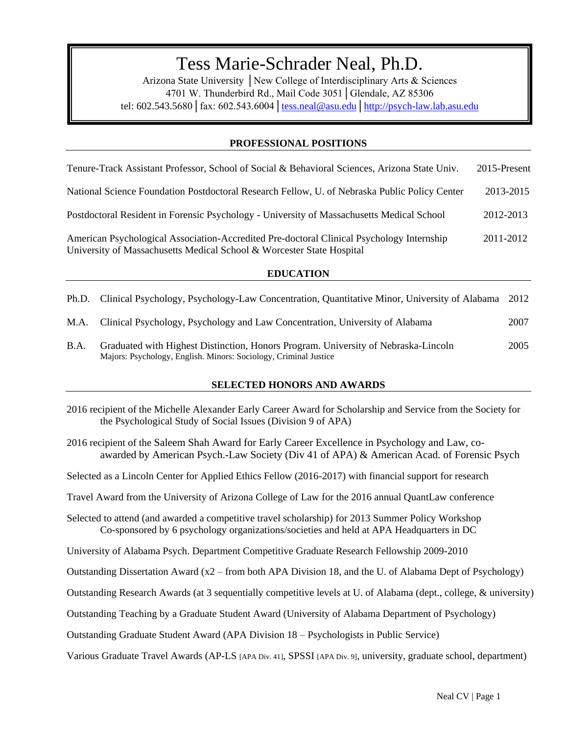# $\ddot{\phantom{1}}$ Tess Marie-Schrader Neal, Ph.D.

Arizona State University │New College of Interdisciplinary Arts & Sciences 4701 W. Thunderbird Rd., Mail Code 3051│Glendale, AZ 85306 tel: 602.543.5680│fax: 602.543.6004[│tess.neal@asu.edu](mailto:tess.neal@asu.edu)[│http://psych-law.lab.asu.edu](http://psych-law.lab.asu.edu/)

# **PROFESSIONAL POSITIONS**

| Tenure-Track Assistant Professor, School of Social & Behavioral Sciences, Arizona State Univ.                                                                      | 2015-Present |
|--------------------------------------------------------------------------------------------------------------------------------------------------------------------|--------------|
| National Science Foundation Postdoctoral Research Fellow, U. of Nebraska Public Policy Center                                                                      | 2013-2015    |
| Postdoctoral Resident in Forensic Psychology - University of Massachusetts Medical School                                                                          | 2012-2013    |
| American Psychological Association-Accredited Pre-doctoral Clinical Psychology Internship<br>University of Massachusetts Medical School & Worcester State Hospital | 2011-2012    |

### **EDUCATION**

|      | Ph.D. Clinical Psychology, Psychology-Law Concentration, Quantitative Minor, University of Alabama                                                     | 2012 |
|------|--------------------------------------------------------------------------------------------------------------------------------------------------------|------|
|      | M.A. Clinical Psychology, Psychology and Law Concentration, University of Alabama                                                                      | 2007 |
| B.A. | Graduated with Highest Distinction, Honors Program. University of Nebraska-Lincoln<br>Majors: Psychology, English. Minors: Sociology, Criminal Justice | 2005 |

# **SELECTED HONORS AND AWARDS**

- 2016 recipient of the Michelle Alexander Early Career Award for Scholarship and Service from the Society for the Psychological Study of Social Issues (Division 9 of APA)
- 2016 recipient of the Saleem Shah Award for Early Career Excellence in Psychology and Law, coawarded by American Psych.-Law Society (Div 41 of APA) & American Acad. of Forensic Psych

Selected as a Lincoln Center for Applied Ethics Fellow (2016-2017) with financial support for research

- Travel Award from the University of Arizona College of Law for the 2016 annual QuantLaw conference
- Selected to attend (and awarded a competitive travel scholarship) for 2013 Summer Policy Workshop Co-sponsored by 6 psychology organizations/societies and held at APA Headquarters in DC

University of Alabama Psych. Department Competitive Graduate Research Fellowship 2009-2010

- Outstanding Dissertation Award (x2 from both APA Division 18, and the U. of Alabama Dept of Psychology)
- Outstanding Research Awards (at 3 sequentially competitive levels at U. of Alabama (dept., college, & university)

Outstanding Teaching by a Graduate Student Award (University of Alabama Department of Psychology)

Outstanding Graduate Student Award (APA Division 18 – Psychologists in Public Service)

Various Graduate Travel Awards (AP-LS [APA Div. 41], SPSSI [APA Div. 9], university, graduate school, department)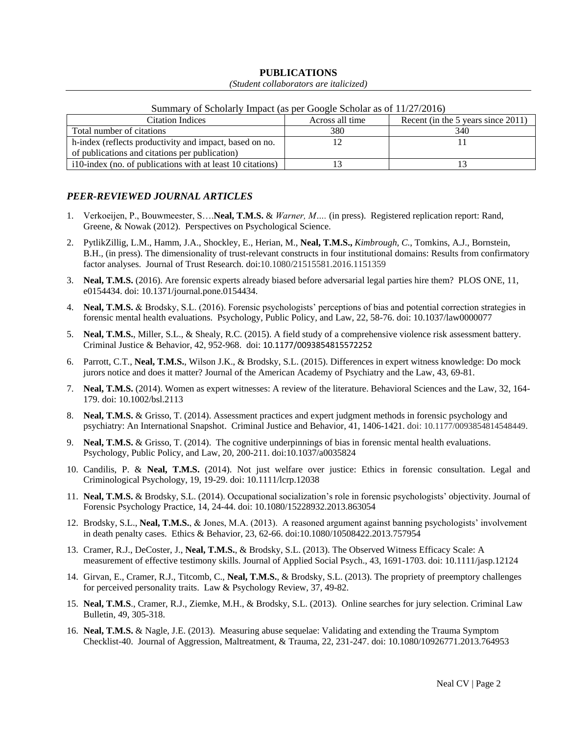# **PUBLICATIONS**

#### *(Student collaborators are italicized)*

| $\sim$ $\cdots$<br>of Denomity impact (as per Occurre Senomic as of $III = 1/201$ |                 |                                    |  |
|-----------------------------------------------------------------------------------|-----------------|------------------------------------|--|
| <b>Citation Indices</b>                                                           | Across all time | Recent (in the 5 years since 2011) |  |
| Total number of citations                                                         | 380             | 340                                |  |
| h-index (reflects productivity and impact, based on no.                           |                 |                                    |  |
| of publications and citations per publication)                                    |                 |                                    |  |
| i 10-index (no. of publications with at least 10 citations)                       |                 |                                    |  |

#### Summary of Scholarly Impact (as per Google Scholar as of 11/27/2016)

# *PEER-REVIEWED JOURNAL ARTICLES*

- 1. Verkoeijen, P., Bouwmeester, S….**Neal, T.M.S.** & *Warner, M….* (in press). Registered replication report: Rand, Greene, & Nowak (2012). Perspectives on Psychological Science.
- 2. PytlikZillig, L.M., Hamm, J.A., Shockley, E., Herian, M., **Neal, T.M.S.,** *Kimbrough, C.*, Tomkins, A.J., Bornstein, B.H., (in press). The dimensionality of trust-relevant constructs in four institutional domains: Results from confirmatory factor analyses. Journal of Trust Research. doi:10.1080/21515581.2016.1151359
- 3. **Neal, T.M.S.** (2016). Are forensic experts already biased before adversarial legal parties hire them? PLOS ONE, 11, e0154434. doi: 10.1371/journal.pone.0154434.
- 4. **Neal, T.M.S.** & Brodsky, S.L. (2016). Forensic psychologists' perceptions of bias and potential correction strategies in forensic mental health evaluations. Psychology, Public Policy, and Law, 22, 58-76. doi: 10.1037/law0000077
- 5. **Neal, T.M.S.**, Miller, S.L., & Shealy, R.C. (2015). A field study of a comprehensive violence risk assessment battery. Criminal Justice & Behavior, 42, 952-968. doi: 10.1177/0093854815572252
- 6. Parrott, C.T., **Neal, T.M.S.**, Wilson J.K., & Brodsky, S.L. (2015). Differences in expert witness knowledge: Do mock jurors notice and does it matter? Journal of the American Academy of Psychiatry and the Law, 43, 69-81.
- 7. **Neal, T.M.S.** (2014). Women as expert witnesses: A review of the literature. Behavioral Sciences and the Law, 32, 164- 179. doi: 10.1002/bsl.2113
- 8. **Neal, T.M.S.** & Grisso, T. (2014). Assessment practices and expert judgment methods in forensic psychology and psychiatry: An International Snapshot. Criminal Justice and Behavior, 41, 1406-1421. doi: 10.1177/0093854814548449.
- 9. **Neal, T.M.S.** & Grisso, T. (2014). The cognitive underpinnings of bias in forensic mental health evaluations. Psychology, Public Policy, and Law, 20, 200-211. doi:10.1037/a0035824
- 10. Candilis, P. & **Neal, T.M.S.** (2014). Not just welfare over justice: Ethics in forensic consultation. Legal and Criminological Psychology, 19, 19-29. doi: 10.1111/lcrp.12038
- 11. **Neal, T.M.S.** & Brodsky, S.L. (2014). Occupational socialization's role in forensic psychologists' objectivity. Journal of Forensic Psychology Practice, 14, 24-44. doi: 10.1080/15228932.2013.863054
- 12. Brodsky, S.L., **Neal, T.M.S.**, & Jones, M.A. (2013). A reasoned argument against banning psychologists' involvement in death penalty cases. Ethics & Behavior, 23, 62-66. doi:10.1080/10508422.2013.757954
- 13. Cramer, R.J., DeCoster, J., **Neal, T.M.S.**, & Brodsky, S.L. (2013). The Observed Witness Efficacy Scale: A measurement of effective testimony skills. Journal of Applied Social Psych., 43, 1691-1703. doi: 10.1111/jasp.12124
- 14. Girvan, E., Cramer, R.J., Titcomb, C., **Neal, T.M.S.**, & Brodsky, S.L. (2013). The propriety of preemptory challenges for perceived personality traits. Law & Psychology Review, 37, 49-82.
- 15. **Neal, T.M.S**., Cramer, R.J., Ziemke, M.H., & Brodsky, S.L. (2013). Online searches for jury selection. Criminal Law Bulletin, 49, 305-318.
- 16. **Neal, T.M.S.** & Nagle, J.E. (2013). Measuring abuse sequelae: Validating and extending the Trauma Symptom Checklist-40. Journal of Aggression, Maltreatment, & Trauma, 22, 231-247. doi: 10.1080/10926771.2013.764953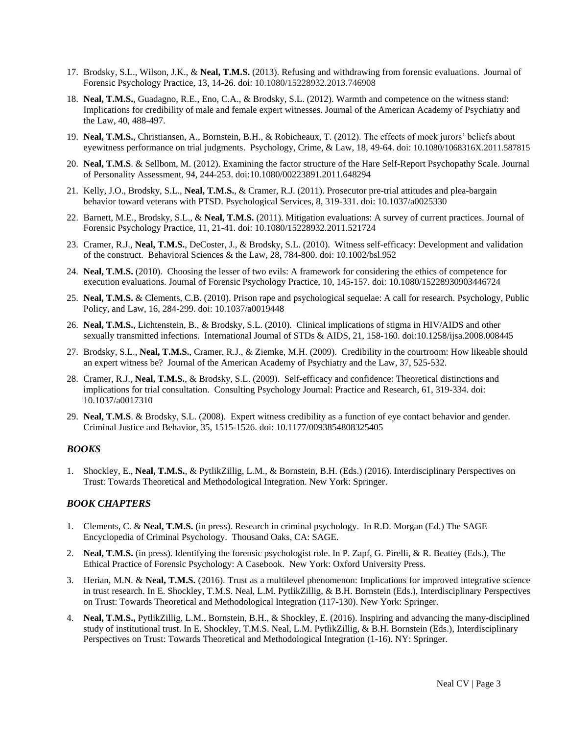- 17. Brodsky, S.L., Wilson, J.K., & **Neal, T.M.S.** (2013). Refusing and withdrawing from forensic evaluations. Journal of Forensic Psychology Practice, 13, 14-26. doi: 10.1080/15228932.2013.746908
- 18. **Neal, T.M.S.**, Guadagno, R.E., Eno, C.A., & Brodsky, S.L. (2012). Warmth and competence on the witness stand: Implications for credibility of male and female expert witnesses. Journal of the American Academy of Psychiatry and the Law, 40, 488-497.
- 19. **Neal, T.M.S.**, Christiansen, A., Bornstein, B.H., & Robicheaux, T. (2012). The effects of mock jurors' beliefs about eyewitness performance on trial judgments. Psychology, Crime, & Law, 18, 49-64. doi: 10.1080/1068316X.2011.587815
- 20. **Neal, T.M.S**. & Sellbom, M. (2012). Examining the factor structure of the Hare Self-Report Psychopathy Scale. Journal of Personality Assessment, 94, 244-253. doi:10.1080/00223891.2011.648294
- 21. Kelly, J.O., Brodsky, S.L., **Neal, T.M.S.**, & Cramer, R.J. (2011). Prosecutor pre-trial attitudes and plea-bargain behavior toward veterans with PTSD. Psychological Services, 8, 319-331. doi: 10.1037/a0025330
- 22. Barnett, M.E., Brodsky, S.L., & **Neal, T.M.S.** (2011). Mitigation evaluations: A survey of current practices. Journal of Forensic Psychology Practice, 11, 21-41. doi: 10.1080/15228932.2011.521724
- 23. Cramer, R.J., **Neal, T.M.S.**, DeCoster, J., & Brodsky, S.L. (2010). Witness self-efficacy: Development and validation of the construct. Behavioral Sciences & the Law, 28, 784-800. doi: 10.1002/bsl.952
- 24. **Neal, T.M.S.** (2010). Choosing the lesser of two evils: A framework for considering the ethics of competence for execution evaluations. Journal of Forensic Psychology Practice, 10, 145-157. doi: 10.1080/15228930903446724
- 25. **Neal, T.M.S.** & Clements, C.B. (2010). Prison rape and psychological sequelae: A call for research. Psychology, Public Policy, and Law, 16, 284-299. doi: 10.1037/a0019448
- 26. **Neal, T.M.S.**, Lichtenstein, B., & Brodsky, S.L. (2010). Clinical implications of stigma in HIV/AIDS and other sexually transmitted infections. International Journal of STDs & AIDS, 21, 158-160. doi:10.1258/ijsa.2008.008445
- 27. Brodsky, S.L., **Neal, T.M.S.**, Cramer, R.J., & Ziemke, M.H. (2009). Credibility in the courtroom: How likeable should an expert witness be? Journal of the American Academy of Psychiatry and the Law, 37, 525-532.
- 28. Cramer, R.J., **Neal, T.M.S.**, & Brodsky, S.L. (2009). Self-efficacy and confidence: Theoretical distinctions and implications for trial consultation. Consulting Psychology Journal: Practice and Research, 61, 319-334. doi: 10.1037/a0017310
- 29. **Neal, T.M.S**. & Brodsky, S.L. (2008). Expert witness credibility as a function of eye contact behavior and gender. Criminal Justice and Behavior, 35, 1515-1526. doi: 10.1177/0093854808325405

## *BOOKS*

1. Shockley, E., **Neal, T.M.S.**, & PytlikZillig, L.M., & Bornstein, B.H. (Eds.) (2016). Interdisciplinary Perspectives on Trust: Towards Theoretical and Methodological Integration. New York: Springer.

#### *BOOK CHAPTERS*

- 1. Clements, C. & **Neal, T.M.S.** (in press). Research in criminal psychology. In R.D. Morgan (Ed.) The SAGE Encyclopedia of Criminal Psychology. Thousand Oaks, CA: SAGE.
- 2. **Neal, T.M.S.** (in press). Identifying the forensic psychologist role. In P. Zapf, G. Pirelli, & R. Beattey (Eds.), The Ethical Practice of Forensic Psychology: A Casebook. New York: Oxford University Press.
- 3. Herian, M.N. & **Neal, T.M.S.** (2016). Trust as a multilevel phenomenon: Implications for improved integrative science in trust research. In E. Shockley, T.M.S. Neal, L.M. PytlikZillig, & B.H. Bornstein (Eds.), Interdisciplinary Perspectives on Trust: Towards Theoretical and Methodological Integration (117-130). New York: Springer.
- 4. **Neal, T.M.S.,** PytlikZillig, L.M., Bornstein, B.H., & Shockley, E. (2016). Inspiring and advancing the many-disciplined study of institutional trust. In E. Shockley, T.M.S. Neal, L.M. PytlikZillig, & B.H. Bornstein (Eds.), Interdisciplinary Perspectives on Trust: Towards Theoretical and Methodological Integration (1-16). NY: Springer.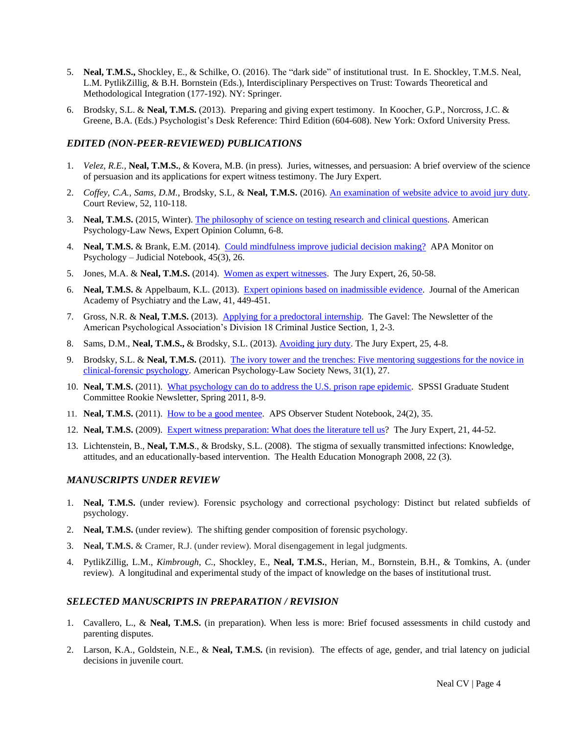- 5. **Neal, T.M.S.,** Shockley, E., & Schilke, O. (2016). The "dark side" of institutional trust. In E. Shockley, T.M.S. Neal, L.M. PytlikZillig, & B.H. Bornstein (Eds.), Interdisciplinary Perspectives on Trust: Towards Theoretical and Methodological Integration (177-192). NY: Springer.
- 6. Brodsky, S.L. & **Neal, T.M.S.** (2013). Preparing and giving expert testimony. In Koocher, G.P., Norcross, J.C. & Greene, B.A. (Eds.) Psychologist's Desk Reference: Third Edition (604-608). New York: Oxford University Press.

### *EDITED (NON-PEER-REVIEWED) PUBLICATIONS*

- 1. *Velez, R.E.,* **Neal, T.M.S.**, & Kovera, M.B. (in press). Juries, witnesses, and persuasion: A brief overview of the science of persuasion and its applications for expert witness testimony. The Jury Expert.
- 2. *Coffey, C.A.*, *Sams, D.M.*, Brodsky, S.L, & **Neal, T.M.S.** (2016). [An examination of website advice to avoid jury duty.](http://aja.ncsc.dni.us/publications/courtrv/cr52-3/CR52-3Sams.pdf) Court Review, 52, 110-118.
- 3. **Neal, T.M.S.** (2015, Winter)[. The philosophy of science on testing](http://ap-ls.wildapricot.org/Resources/Documents/apls_Winter_2015.pdf) research and clinical questions. American Psychology-Law News, Expert Opinion Column, 6-8.
- 4. **Neal, T.M.S.** & Brank, E.M. (2014). Could [mindfulness improve judicial decision making?](http://www.apamonitor-digital.org/apamonitor/201403#pg29) APA Monitor on Psychology – Judicial Notebook, 45(3), 26.
- 5. Jones, M.A. & **Neal, T.M.S.** (2014). [Women as expert](http://www.thejuryexpert.com/2014/05/women-as-expert-witnesses/) witnesses. The Jury Expert, 26, 50-58.
- 6. **Neal, T.M.S.** & Appelbaum, K.L. (2013). [Expert opinions based on inadmissible evidence.](http://www.jaapl.org/content/41/3/449.full) Journal of the American Academy of Psychiatry and the Law, 41, 449-451.
- 7. Gross, N.R. & **Neal, T.M.S.** (2013). [Applying for a predoctoral internship.](http://www.apadivisions.org/division-18/publications/newsletters/gavel/2013/07/predoctoral-internship-applications.aspx) The Gavel: The Newsletter of the American Psychological Association's Division 18 Criminal Justice Section, 1, 2-3.
- 8. Sams, D.M., **Neal, T.M.S.,** & Brodsky, S.L. (2013). [Avoiding jury duty.](http://www.thejuryexpert.com/wp-content/uploads/JuryExpert_1301_AvoidingJuryDuty.pdf) The Jury Expert, 25, 4-8.
- 9. Brodsky, S.L. & **Neal, T.M.S.** (2011). [The ivory tower and the trenches: Five mentoring suggestions for the novice in](http://www.apadivisions.org/division-41/publications/newsletters/news/2011/01-issue.pdf)  [clinical-forensic psychology.](http://www.apadivisions.org/division-41/publications/newsletters/news/2011/01-issue.pdf) American Psychology-Law Society News, 31(1), 27.
- 10. **Neal, T.M.S.** (2011). [What psychology can do to address the U.S. prison rape epidemic.](http://www.spssi.org/_data/n_0001/resources/live/Rookie%20Newsletter%20Spring%202011.pdf) SPSSI Graduate Student Committee Rookie Newsletter, Spring 2011, 8-9.
- 11. **Neal, T.M.S.** (2011). [How to be a good mentee.](http://www.psychologicalscience.org/index.php/publications/observer/2011/february-11/how-to-be-a-good-mentee.html) APS Observer Student Notebook, 24(2), 35.
- 12. **Neal, T.M.S.** (2009). [Expert witness preparation: What does the literature tell us?](http://www.thejuryexpert.com/wp-content/uploads/NealExpertWitnessesTJEMarch09.pdf) The Jury Expert, 21, 44-52.
- 13. Lichtenstein, B., **Neal, T.M.S**., & Brodsky, S.L. (2008). The stigma of sexually transmitted infections: Knowledge, attitudes, and an educationally-based intervention. The Health Education Monograph 2008, 22 (3).

#### *MANUSCRIPTS UNDER REVIEW*

- 1. **Neal, T.M.S.** (under review). Forensic psychology and correctional psychology: Distinct but related subfields of psychology.
- 2. **Neal, T.M.S.** (under review). The shifting gender composition of forensic psychology.
- 3. **Neal, T.M.S.** & Cramer, R.J. (under review). Moral disengagement in legal judgments.
- 4. PytlikZillig, L.M., *Kimbrough, C.*, Shockley, E., **Neal, T.M.S.**, Herian, M., Bornstein, B.H., & Tomkins, A. (under review). A longitudinal and experimental study of the impact of knowledge on the bases of institutional trust.

#### *SELECTED MANUSCRIPTS IN PREPARATION / REVISION*

- 1. Cavallero, L., & **Neal, T.M.S.** (in preparation). When less is more: Brief focused assessments in child custody and parenting disputes.
- 2. Larson, K.A., Goldstein, N.E., & **Neal, T.M.S.** (in revision). The effects of age, gender, and trial latency on judicial decisions in juvenile court.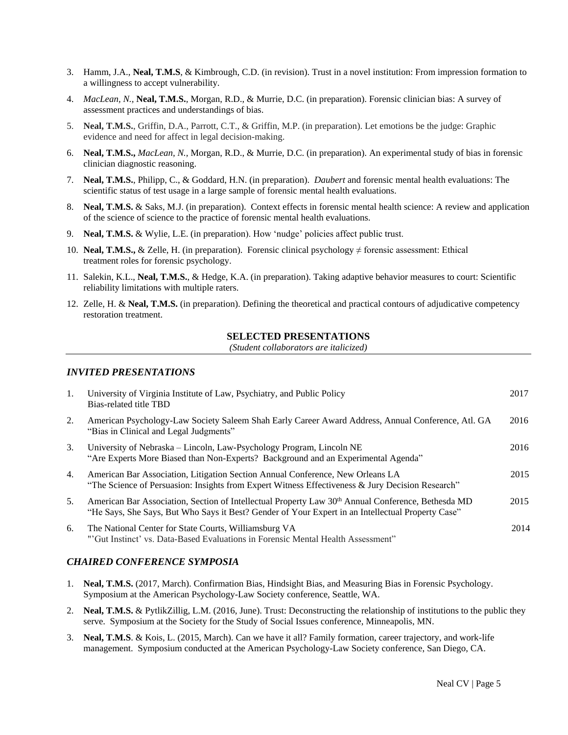- 3. Hamm, J.A., **Neal, T.M.S**, & Kimbrough, C.D. (in revision). Trust in a novel institution: From impression formation to a willingness to accept vulnerability.
- 4. *MacLean, N.,* **Neal, T.M.S.***,* Morgan, R.D., & Murrie, D.C. (in preparation). Forensic clinician bias: A survey of assessment practices and understandings of bias.
- 5. **Neal, T.M.S.**, Griffin, D.A., Parrott, C.T., & Griffin, M.P. (in preparation). Let emotions be the judge: Graphic evidence and need for affect in legal decision-making.
- 6. **Neal, T.M.S.,** *MacLean, N.,* Morgan, R.D., & Murrie, D.C. (in preparation). An experimental study of bias in forensic clinician diagnostic reasoning.
- 7. **Neal, T.M.S.**, Philipp, C., & Goddard, H.N. (in preparation). *Daubert* and forensic mental health evaluations: The scientific status of test usage in a large sample of forensic mental health evaluations.
- 8. **Neal, T.M.S.** & Saks, M.J. (in preparation). Context effects in forensic mental health science: A review and application of the science of science to the practice of forensic mental health evaluations.
- 9. **Neal, T.M.S.** & Wylie, L.E. (in preparation). How 'nudge' policies affect public trust.
- 10. **Neal, T.M.S.,** & Zelle, H. (in preparation). Forensic clinical psychology ≠ forensic assessment: Ethical treatment roles for forensic psychology.
- 11. Salekin, K.L., **Neal, T.M.S.**, & Hedge, K.A. (in preparation). Taking adaptive behavior measures to court: Scientific reliability limitations with multiple raters.
- 12. Zelle, H. & **Neal, T.M.S.** (in preparation). Defining the theoretical and practical contours of adjudicative competency restoration treatment.

# **SELECTED PRESENTATIONS**

*(Student collaborators are italicized)*

#### *INVITED PRESENTATIONS*

| 1. | University of Virginia Institute of Law, Psychiatry, and Public Policy<br>Bias-related title TBD                                                                                                                    | 2017 |
|----|---------------------------------------------------------------------------------------------------------------------------------------------------------------------------------------------------------------------|------|
| 2. | American Psychology-Law Society Saleem Shah Early Career Award Address, Annual Conference, Atl. GA<br>"Bias in Clinical and Legal Judgments"                                                                        | 2016 |
| 3. | University of Nebraska – Lincoln, Law-Psychology Program, Lincoln NE<br>"Are Experts More Biased than Non-Experts? Background and an Experimental Agenda"                                                           | 2016 |
| 4. | American Bar Association, Litigation Section Annual Conference, New Orleans LA<br>"The Science of Persuasion: Insights from Expert Witness Effectiveness & Jury Decision Research"                                  | 2015 |
| 5. | American Bar Association, Section of Intellectual Property Law 30 <sup>th</sup> Annual Conference, Bethesda MD<br>"He Says, She Says, But Who Says it Best? Gender of Your Expert in an Intellectual Property Case" | 2015 |
| 6. | The National Center for State Courts, Williamsburg VA<br>"'Gut Instinct' vs. Data-Based Evaluations in Forensic Mental Health Assessment"                                                                           | 2014 |

# *CHAIRED CONFERENCE SYMPOSIA*

- 1. **Neal, T.M.S.** (2017, March). Confirmation Bias, Hindsight Bias, and Measuring Bias in Forensic Psychology. Symposium at the American Psychology-Law Society conference, Seattle, WA.
- 2. **Neal, T.M.S.** & PytlikZillig, L.M. (2016, June). Trust: Deconstructing the relationship of institutions to the public they serve. Symposium at the Society for the Study of Social Issues conference, Minneapolis, MN.
- 3. **Neal, T.M.S**. & Kois, L. (2015, March). Can we have it all? Family formation, career trajectory, and work-life management. Symposium conducted at the American Psychology-Law Society conference, San Diego, CA.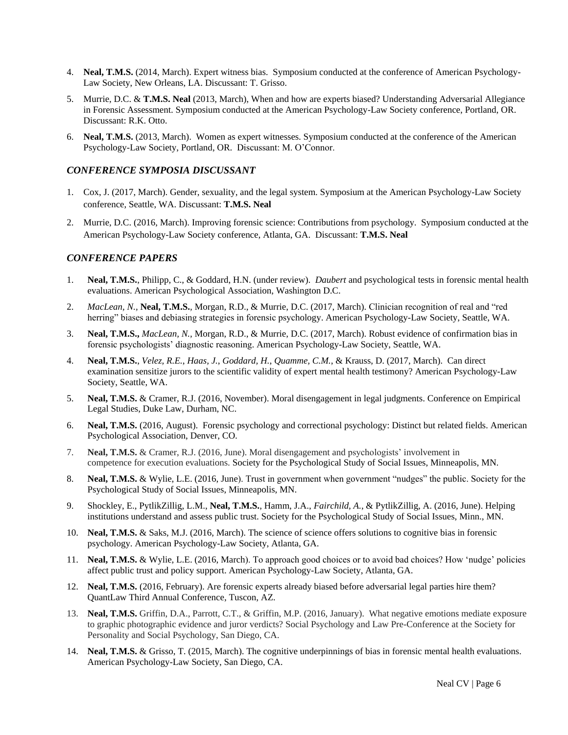- 4. **Neal, T.M.S.** (2014, March). Expert witness bias. Symposium conducted at the conference of American Psychology-Law Society, New Orleans, LA. Discussant: T. Grisso.
- 5. Murrie, D.C. & **T.M.S. Neal** (2013, March), When and how are experts biased? Understanding Adversarial Allegiance in Forensic Assessment. Symposium conducted at the American Psychology-Law Society conference, Portland, OR. Discussant: R.K. Otto.
- 6. **Neal, T.M.S.** (2013, March). Women as expert witnesses. Symposium conducted at the conference of the American Psychology-Law Society, Portland, OR. Discussant: M. O'Connor.

#### *CONFERENCE SYMPOSIA DISCUSSANT*

- 1. Cox, J. (2017, March). Gender, sexuality, and the legal system. Symposium at the American Psychology-Law Society conference, Seattle, WA. Discussant: **T.M.S. Neal**
- 2. Murrie, D.C. (2016, March). Improving forensic science: Contributions from psychology. Symposium conducted at the American Psychology-Law Society conference, Atlanta, GA. Discussant: **T.M.S. Neal**

### *CONFERENCE PAPERS*

- 1. **Neal, T.M.S.**, Philipp, C., & Goddard, H.N. (under review). *Daubert* and psychological tests in forensic mental health evaluations. American Psychological Association, Washington D.C.
- 2. *MacLean, N.,* **Neal, T.M.S.***,* Morgan, R.D., & Murrie, D.C. (2017, March). Clinician recognition of real and "red herring" biases and debiasing strategies in forensic psychology. American Psychology-Law Society, Seattle, WA.
- 3. **Neal, T.M.S.,** *MacLean, N.,* Morgan, R.D., & Murrie, D.C. (2017, March). Robust evidence of confirmation bias in forensic psychologists' diagnostic reasoning. American Psychology-Law Society, Seattle, WA.
- 4. **Neal, T.M.S.**, *Velez, R.E.*, *Haas, J.*, *Goddard, H.*, *Quamme, C.M.*, & Krauss, D. (2017, March). Can direct examination sensitize jurors to the scientific validity of expert mental health testimony? American Psychology-Law Society, Seattle, WA.
- 5. **Neal, T.M.S.** & Cramer, R.J. (2016, November). Moral disengagement in legal judgments. Conference on Empirical Legal Studies, Duke Law, Durham, NC.
- 6. **Neal, T.M.S.** (2016, August). Forensic psychology and correctional psychology: Distinct but related fields. American Psychological Association, Denver, CO.
- 7. **Neal, T.M.S.** & Cramer, R.J. (2016, June). Moral disengagement and psychologists' involvement in competence for execution evaluations. Society for the Psychological Study of Social Issues, Minneapolis, MN.
- 8. **Neal, T.M.S.** & Wylie, L.E. (2016, June). Trust in government when government "nudges" the public. Society for the Psychological Study of Social Issues, Minneapolis, MN.
- 9. Shockley, E., PytlikZillig, L.M., **Neal, T.M.S.**, Hamm, J.A., *Fairchild, A.*, & PytlikZillig, A. (2016, June). Helping institutions understand and assess public trust. Society for the Psychological Study of Social Issues, Minn., MN.
- 10. **Neal, T.M.S.** & Saks, M.J. (2016, March). The science of science offers solutions to cognitive bias in forensic psychology. American Psychology-Law Society, Atlanta, GA.
- 11. **Neal, T.M.S.** & Wylie, L.E. (2016, March). To approach good choices or to avoid bad choices? How 'nudge' policies affect public trust and policy support. American Psychology-Law Society, Atlanta, GA.
- 12. **Neal, T.M.S.** (2016, February). Are forensic experts already biased before adversarial legal parties hire them? QuantLaw Third Annual Conference, Tuscon, AZ.
- 13. **Neal, T.M.S.** Griffin, D.A., Parrott, C.T., & Griffin, M.P. (2016, January). What negative emotions mediate exposure to graphic photographic evidence and juror verdicts? Social Psychology and Law Pre-Conference at the Society for Personality and Social Psychology, San Diego, CA.
- 14. **Neal, T.M.S.** & Grisso, T. (2015, March). The cognitive underpinnings of bias in forensic mental health evaluations. American Psychology-Law Society, San Diego, CA.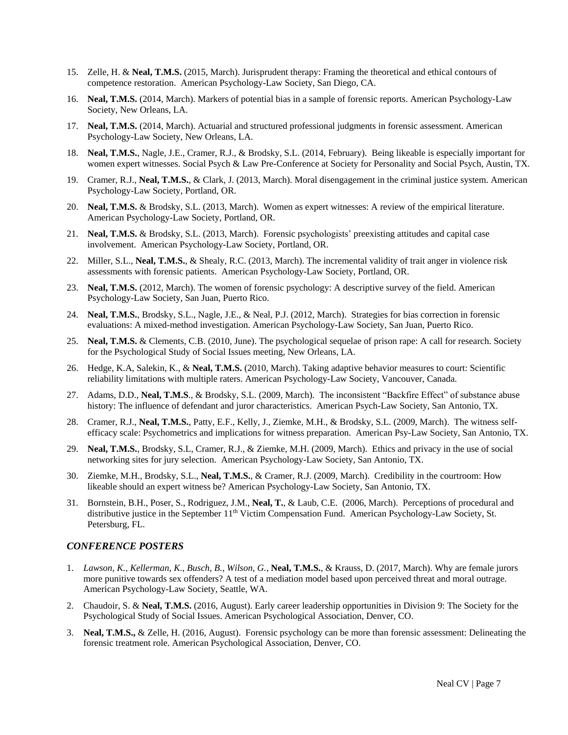- 15. Zelle, H. & **Neal, T.M.S.** (2015, March). Jurisprudent therapy: Framing the theoretical and ethical contours of competence restoration. American Psychology-Law Society, San Diego, CA.
- 16. **Neal, T.M.S.** (2014, March). Markers of potential bias in a sample of forensic reports. American Psychology-Law Society, New Orleans, LA.
- 17. **Neal, T.M.S.** (2014, March). Actuarial and structured professional judgments in forensic assessment. American Psychology-Law Society, New Orleans, LA.
- 18. **Neal, T.M.S.**, Nagle, J.E., Cramer, R.J., & Brodsky, S.L. (2014, February). Being likeable is especially important for women expert witnesses. Social Psych & Law Pre-Conference at Society for Personality and Social Psych, Austin, TX.
- 19. Cramer, R.J., **Neal, T.M.S.**, & Clark, J. (2013, March). Moral disengagement in the criminal justice system. American Psychology-Law Society, Portland, OR.
- 20. **Neal, T.M.S.** & Brodsky, S.L. (2013, March). Women as expert witnesses: A review of the empirical literature. American Psychology-Law Society, Portland, OR.
- 21. **Neal, T.M.S.** & Brodsky, S.L. (2013, March). Forensic psychologists' preexisting attitudes and capital case involvement. American Psychology-Law Society, Portland, OR.
- 22. Miller, S.L., **Neal, T.M.S.**, & Shealy, R.C. (2013, March). The incremental validity of trait anger in violence risk assessments with forensic patients. American Psychology-Law Society, Portland, OR.
- 23. **Neal, T.M.S.** (2012, March). The women of forensic psychology: A descriptive survey of the field. American Psychology-Law Society, San Juan, Puerto Rico.
- 24. **Neal, T.M.S.**, Brodsky, S.L., Nagle, J.E., & Neal, P.J. (2012, March). Strategies for bias correction in forensic evaluations: A mixed-method investigation. American Psychology-Law Society, San Juan, Puerto Rico.
- 25. **Neal, T.M.S.** & Clements, C.B. (2010, June). The psychological sequelae of prison rape: A call for research. Society for the Psychological Study of Social Issues meeting, New Orleans, LA.
- 26. Hedge, K.A, Salekin, K., & **Neal, T.M.S.** (2010, March). Taking adaptive behavior measures to court: Scientific reliability limitations with multiple raters. American Psychology-Law Society, Vancouver, Canada.
- 27. Adams, D.D., **Neal, T.M.S**., & Brodsky, S.L. (2009, March). The inconsistent "Backfire Effect" of substance abuse history: The influence of defendant and juror characteristics. American Psych-Law Society, San Antonio, TX.
- 28. Cramer, R.J., **Neal, T.M.S.**, Patty, E.F., Kelly, J., Ziemke, M.H., & Brodsky, S.L. (2009, March). The witness selfefficacy scale: Psychometrics and implications for witness preparation. American Psy-Law Society, San Antonio, TX.
- 29. **Neal, T.M.S.**, Brodsky, S.L, Cramer, R.J., & Ziemke, M.H. (2009, March). Ethics and privacy in the use of social networking sites for jury selection. American Psychology-Law Society, San Antonio, TX.
- 30. Ziemke, M.H., Brodsky, S.L., **Neal, T.M.S.**, & Cramer, R.J. (2009, March). Credibility in the courtroom: How likeable should an expert witness be? American Psychology-Law Society, San Antonio, TX.
- 31. Bornstein, B.H., Poser, S., Rodriguez, J.M., **Neal, T.**, & Laub, C.E. (2006, March). Perceptions of procedural and distributive justice in the September 11<sup>th</sup> Victim Compensation Fund. American Psychology-Law Society, St. Petersburg, FL.

#### *CONFERENCE POSTERS*

- 1. *Lawson, K., Kellerman, K., Busch, B., Wilson, G.*, **Neal, T.M.S.**, & Krauss, D. (2017, March). Why are female jurors more punitive towards sex offenders? A test of a mediation model based upon perceived threat and moral outrage. American Psychology-Law Society, Seattle, WA.
- 2. Chaudoir, S. & **Neal, T.M.S.** (2016, August). Early career leadership opportunities in Division 9: The Society for the Psychological Study of Social Issues. American Psychological Association, Denver, CO.
- 3. **Neal, T.M.S.,** & Zelle, H. (2016, August). Forensic psychology can be more than forensic assessment: Delineating the forensic treatment role. American Psychological Association, Denver, CO.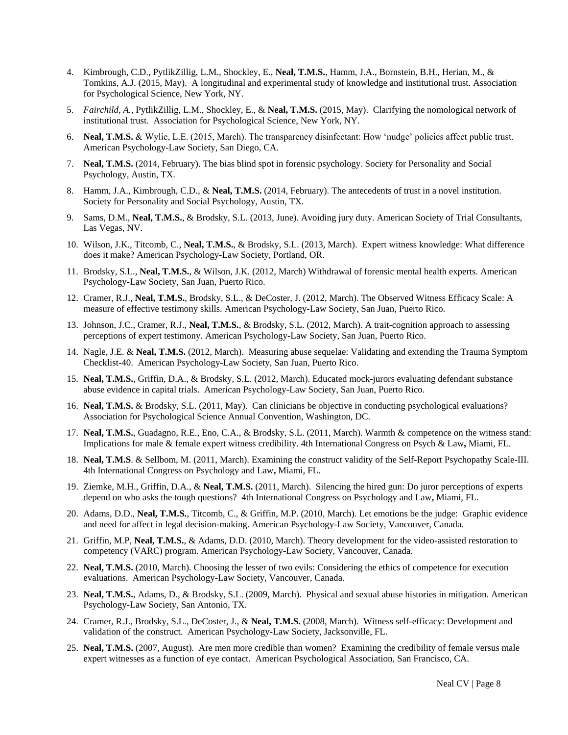- 4. Kimbrough, C.D., PytlikZillig, L.M., Shockley, E., **Neal, T.M.S.**, Hamm, J.A., Bornstein, B.H., Herian, M., & Tomkins, A.J. (2015, May). A longitudinal and experimental study of knowledge and institutional trust. Association for Psychological Science, New York, NY.
- 5. *Fairchild, A.*, PytlikZillig, L.M., Shockley, E., & **Neal, T.M.S.** (2015, May). Clarifying the nomological network of institutional trust. Association for Psychological Science, New York, NY.
- 6. **Neal, T.M.S.** & Wylie, L.E. (2015, March). The transparency disinfectant: How 'nudge' policies affect public trust. American Psychology-Law Society, San Diego, CA.
- 7. **Neal, T.M.S.** (2014, February). The bias blind spot in forensic psychology. Society for Personality and Social Psychology, Austin, TX.
- 8. Hamm, J.A., Kimbrough, C.D., & **Neal, T.M.S.** (2014, February). The antecedents of trust in a novel institution. Society for Personality and Social Psychology, Austin, TX.
- 9. Sams, D.M., **Neal, T.M.S.**, & Brodsky, S.L. (2013, June). Avoiding jury duty. American Society of Trial Consultants, Las Vegas, NV.
- 10. Wilson, J.K., Titcomb, C., **Neal, T.M.S.**, & Brodsky, S.L. (2013, March). Expert witness knowledge: What difference does it make? American Psychology-Law Society, Portland, OR.
- 11. Brodsky, S.L., **Neal, T.M.S.**, & Wilson, J.K. (2012, March) Withdrawal of forensic mental health experts. American Psychology-Law Society, San Juan, Puerto Rico.
- 12. Cramer, R.J., **Neal, T.M.S.**, Brodsky, S.L., & DeCoster, J. (2012, March). The Observed Witness Efficacy Scale: A measure of effective testimony skills. American Psychology-Law Society, San Juan, Puerto Rico.
- 13. Johnson, J.C., Cramer, R.J., **Neal, T.M.S.**, & Brodsky, S.L. (2012, March). A trait-cognition approach to assessing perceptions of expert testimony. American Psychology-Law Society, San Juan, Puerto Rico.
- 14. Nagle, J.E. & **Neal, T.M.S.** (2012, March). Measuring abuse sequelae: Validating and extending the Trauma Symptom Checklist-40. American Psychology-Law Society, San Juan, Puerto Rico.
- 15. **Neal, T.M.S.**, Griffin, D.A., & Brodsky, S.L. (2012, March). Educated mock-jurors evaluating defendant substance abuse evidence in capital trials. American Psychology-Law Society, San Juan, Puerto Rico.
- 16. **Neal, T.M.S.** & Brodsky, S.L. (2011, May). Can clinicians be objective in conducting psychological evaluations? Association for Psychological Science Annual Convention, Washington, DC.
- 17. **Neal, T.M.S.**, Guadagno, R.E., Eno, C.A., & Brodsky, S.L. (2011, March). Warmth & competence on the witness stand: Implications for male & female expert witness credibility. 4th International Congress on Psych & Law**,** Miami, FL.
- 18. **Neal, T.M.S**. & Sellbom, M. (2011, March). Examining the construct validity of the Self-Report Psychopathy Scale-III. 4th International Congress on Psychology and Law**,** Miami, FL.
- 19. Ziemke, M.H., Griffin, D.A., & **Neal, T.M.S.** (2011, March). Silencing the hired gun: Do juror perceptions of experts depend on who asks the tough questions? 4th International Congress on Psychology and Law**,** Miami, FL.
- 20. Adams, D.D., **Neal, T.M.S.**, Titcomb, C., & Griffin, M.P. (2010, March). Let emotions be the judge: Graphic evidence and need for affect in legal decision-making. American Psychology-Law Society, Vancouver, Canada.
- 21. Griffin, M.P, **Neal, T.M.S.**, & Adams, D.D. (2010, March). Theory development for the video-assisted restoration to competency (VARC) program. American Psychology-Law Society, Vancouver, Canada.
- 22. **Neal, T.M.S.** (2010, March). Choosing the lesser of two evils: Considering the ethics of competence for execution evaluations. American Psychology-Law Society, Vancouver, Canada.
- 23. **Neal, T.M.S.**, Adams, D., & Brodsky, S.L. (2009, March). Physical and sexual abuse histories in mitigation. American Psychology-Law Society, San Antonio, TX.
- 24. Cramer, R.J., Brodsky, S.L., DeCoster, J., & **Neal, T.M.S.** (2008, March). Witness self-efficacy: Development and validation of the construct. American Psychology-Law Society, Jacksonville, FL.
- 25. **Neal, T.M.S.** (2007, August). Are men more credible than women? Examining the credibility of female versus male expert witnesses as a function of eye contact. American Psychological Association, San Francisco, CA.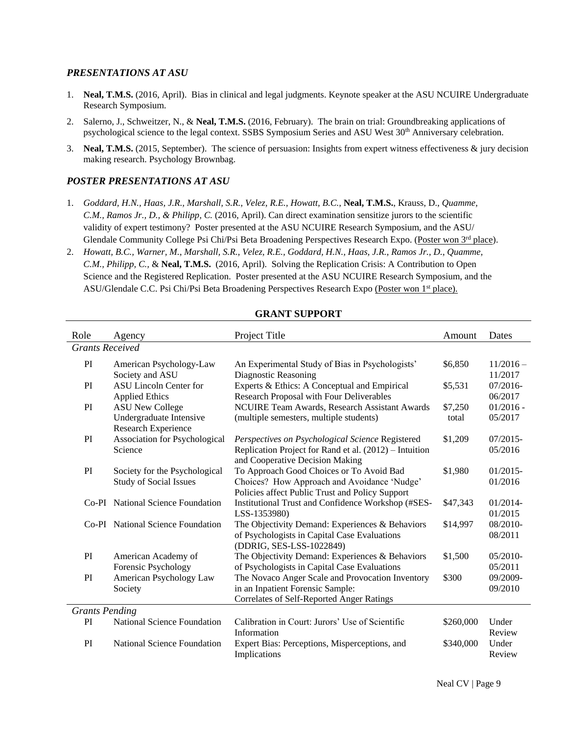#### *PRESENTATIONS AT ASU*

- 1. **Neal, T.M.S.** (2016, April). Bias in clinical and legal judgments. Keynote speaker at the ASU NCUIRE Undergraduate Research Symposium.
- 2. Salerno, J., Schweitzer, N., & **Neal, T.M.S.** (2016, February). The brain on trial: Groundbreaking applications of psychological science to the legal context. SSBS Symposium Series and ASU West 30<sup>th</sup> Anniversary celebration.
- 3. **Neal, T.M.S.** (2015, September). The science of persuasion: Insights from expert witness effectiveness & jury decision making research. Psychology Brownbag.

## *POSTER PRESENTATIONS AT ASU*

- 1. *Goddard, H.N., Haas, J.R., Marshall, S.R., Velez, R.E., Howatt, B.C.*, **Neal, T.M.S.**, Krauss, D., *Quamme, C.M., Ramos Jr., D., & Philipp, C.* (2016, April). Can direct examination sensitize jurors to the scientific validity of expert testimony? Poster presented at the ASU NCUIRE Research Symposium, and the ASU/ Glendale Community College Psi Chi/Psi Beta Broadening Perspectives Research Expo. (Poster won 3rd place).
- 2. *Howatt, B.C., Warner, M., Marshall, S.R., Velez, R.E., Goddard, H.N., Haas, J.R., Ramos Jr., D., Quamme, C.M., Philipp, C.,* & **Neal, T.M.S.** (2016, April). Solving the Replication Crisis: A Contribution to Open Science and the Registered Replication. Poster presented at the ASU NCUIRE Research Symposium, and the ASU/Glendale C.C. Psi Chi/Psi Beta Broadening Perspectives Research Expo (Poster won 1<sup>st</sup> place).

| Role                   | Agency                                                         | Project Title                                                                                                                                 | Amount    | Dates                  |
|------------------------|----------------------------------------------------------------|-----------------------------------------------------------------------------------------------------------------------------------------------|-----------|------------------------|
| <b>Grants Received</b> |                                                                |                                                                                                                                               |           |                        |
| PI                     | American Psychology-Law<br>Society and ASU                     | An Experimental Study of Bias in Psychologists'<br>Diagnostic Reasoning                                                                       | \$6,850   | $11/2016-$<br>11/2017  |
| PI                     | <b>ASU Lincoln Center for</b><br><b>Applied Ethics</b>         | Experts & Ethics: A Conceptual and Empirical<br>Research Proposal with Four Deliverables                                                      | \$5,531   | 07/2016-<br>06/2017    |
| PI                     | <b>ASU New College</b>                                         | NCUIRE Team Awards, Research Assistant Awards                                                                                                 | \$7,250   | $01/2016 -$            |
|                        | Undergraduate Intensive<br><b>Research Experience</b>          | (multiple semesters, multiple students)                                                                                                       | total     | 05/2017                |
| PI                     | Association for Psychological<br>Science                       | Perspectives on Psychological Science Registered<br>Replication Project for Rand et al. (2012) – Intuition<br>and Cooperative Decision Making | \$1,209   | $07/2015$ -<br>05/2016 |
| PI                     | Society for the Psychological<br><b>Study of Social Issues</b> | To Approach Good Choices or To Avoid Bad<br>Choices? How Approach and Avoidance 'Nudge'<br>Policies affect Public Trust and Policy Support    | \$1,980   | $01/2015 -$<br>01/2016 |
|                        | Co-PI National Science Foundation                              | Institutional Trust and Confidence Workshop (#SES-<br>LSS-1353980)                                                                            | \$47,343  | $01/2014$ -<br>01/2015 |
|                        | Co-PI National Science Foundation                              | The Objectivity Demand: Experiences & Behaviors<br>of Psychologists in Capital Case Evaluations<br>(DDRIG, SES-LSS-1022849)                   | \$14,997  | 08/2010-<br>08/2011    |
| PI                     | American Academy of<br>Forensic Psychology                     | The Objectivity Demand: Experiences & Behaviors<br>of Psychologists in Capital Case Evaluations                                               | \$1,500   | $05/2010-$<br>05/2011  |
| PI                     | American Psychology Law<br>Society                             | The Novaco Anger Scale and Provocation Inventory<br>in an Inpatient Forensic Sample:<br>Correlates of Self-Reported Anger Ratings             | \$300     | 09/2009-<br>09/2010    |
| <b>Grants Pending</b>  |                                                                |                                                                                                                                               |           |                        |
| PI                     | <b>National Science Foundation</b>                             | Calibration in Court: Jurors' Use of Scientific<br>Information                                                                                | \$260,000 | Under<br>Review        |
| PI                     | <b>National Science Foundation</b>                             | Expert Bias: Perceptions, Misperceptions, and<br>Implications                                                                                 | \$340,000 | Under<br>Review        |

# **GRANT SUPPORT**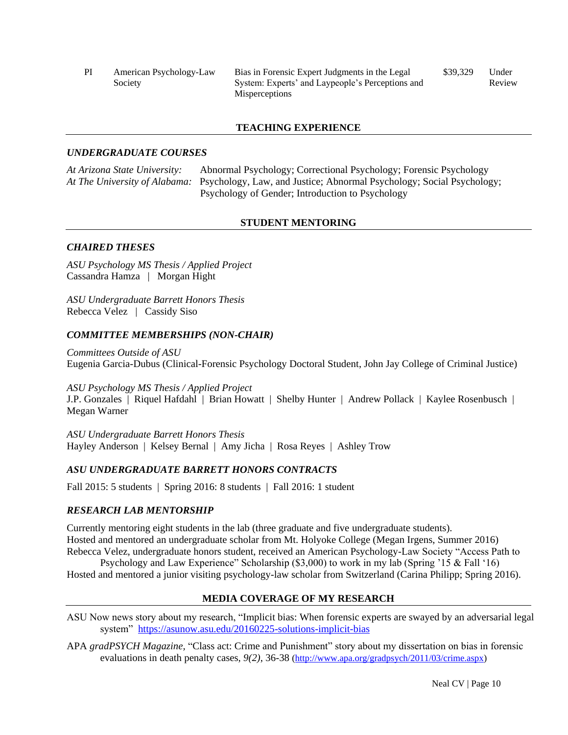| PI | American Psychology-Law | Bias in Forensic Expert Judgments in the Legal   | \$39,329 | Under  |
|----|-------------------------|--------------------------------------------------|----------|--------|
|    | Society                 | System: Experts' and Laypeople's Perceptions and |          | Review |
|    |                         | <b>Misperceptions</b>                            |          |        |

### **TEACHING EXPERIENCE**

### *UNDERGRADUATE COURSES*

*At Arizona State University:* Abnormal Psychology; Correctional Psychology; Forensic Psychology *At The University of Alabama:* Psychology, Law, and Justice; Abnormal Psychology; Social Psychology; Psychology of Gender; Introduction to Psychology

### **STUDENT MENTORING**

### *CHAIRED THESES*

*ASU Psychology MS Thesis / Applied Project* Cassandra Hamza | Morgan Hight

*ASU Undergraduate Barrett Honors Thesis* Rebecca Velez | Cassidy Siso

### *COMMITTEE MEMBERSHIPS (NON-CHAIR)*

*Committees Outside of ASU* Eugenia Garcia-Dubus (Clinical-Forensic Psychology Doctoral Student, John Jay College of Criminal Justice)

*ASU Psychology MS Thesis / Applied Project* J.P. Gonzales | Riquel Hafdahl | Brian Howatt | Shelby Hunter | Andrew Pollack | Kaylee Rosenbusch | Megan Warner

*ASU Undergraduate Barrett Honors Thesis* Hayley Anderson | Kelsey Bernal | Amy Jicha | Rosa Reyes | Ashley Trow

# *ASU UNDERGRADUATE BARRETT HONORS CONTRACTS*

Fall 2015: 5 students | Spring 2016: 8 students | Fall 2016: 1 student

# *RESEARCH LAB MENTORSHIP*

Currently mentoring eight students in the lab (three graduate and five undergraduate students). Hosted and mentored an undergraduate scholar from Mt. Holyoke College (Megan Irgens, Summer 2016) Rebecca Velez, undergraduate honors student, received an American Psychology-Law Society "Access Path to

Psychology and Law Experience" Scholarship (\$3,000) to work in my lab (Spring '15 & Fall '16) Hosted and mentored a junior visiting psychology-law scholar from Switzerland (Carina Philipp; Spring 2016).

# **MEDIA COVERAGE OF MY RESEARCH**

ASU Now news story about my research, "Implicit bias: When forensic experts are swayed by an adversarial legal system" <https://asunow.asu.edu/20160225-solutions-implicit-bias>

APA *gradPSYCH Magazine,* "Class act: Crime and Punishment" story about my dissertation on bias in forensic evaluations in death penalty cases*, 9(2)*, 36-38 [\(http://www.apa.org/gradpsych/2011/03/crime.aspx\)](http://www.apa.org/gradpsych/2011/03/crime.aspx)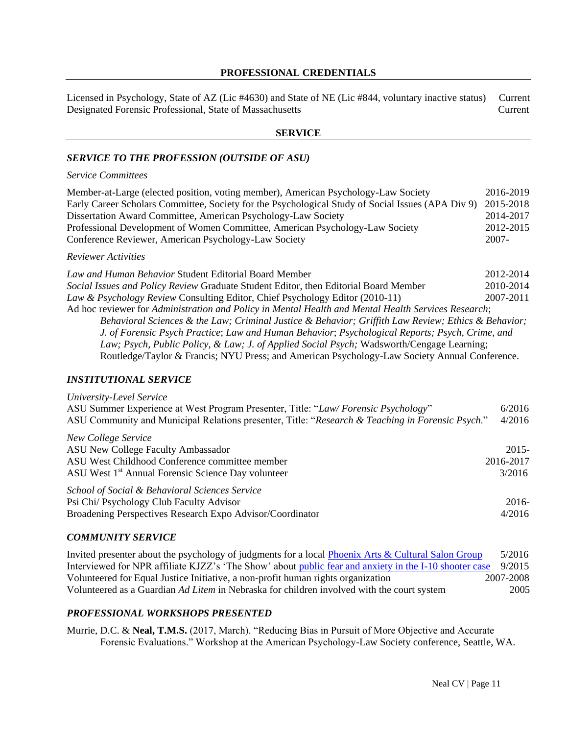# **PROFESSIONAL CREDENTIALS**

Licensed in Psychology, State of AZ (Lic #4630) and State of NE (Lic #844, voluntary inactive status) Current Designated Forensic Professional, State of Massachusetts Current

# **SERVICE**

# *SERVICE TO THE PROFESSION (OUTSIDE OF ASU)*

#### *Service Committees*

| Member-at-Large (elected position, voting member), American Psychology-Law Society                          |           |
|-------------------------------------------------------------------------------------------------------------|-----------|
| Early Career Scholars Committee, Society for the Psychological Study of Social Issues (APA Div 9) 2015-2018 |           |
| Dissertation Award Committee, American Psychology-Law Society                                               | 2014-2017 |
| Professional Development of Women Committee, American Psychology-Law Society                                | 2012-2015 |
| Conference Reviewer, American Psychology-Law Society                                                        | 2007-     |

#### *Reviewer Activities*

*Law and Human Behavior* Student Editorial Board Member 2012-2014 *Social Issues and Policy Review* Graduate Student Editor, then Editorial Board Member 2010-2014 *Law & Psychology Review* Consulting Editor, Chief Psychology Editor (2010-11) 2007-2011 Ad hoc reviewer for *Administration and Policy in Mental Health and Mental Health Services Research*; *Behavioral Sciences & the Law; Criminal Justice & Behavior; Griffith Law Review; Ethics & Behavior; J. of Forensic Psych Practice*; *Law and Human Behavior*; *Psychological Reports; Psych, Crime, and Law; Psych, Public Policy, & Law; J. of Applied Social Psych;* Wadsworth/Cengage Learning; Routledge/Taylor & Francis; NYU Press; and American Psychology-Law Society Annual Conference.

#### *INSTITUTIONAL SERVICE*

| University-Level Service                                                                         |           |
|--------------------------------------------------------------------------------------------------|-----------|
| ASU Summer Experience at West Program Presenter, Title: "Law/Forensic Psychology"                | 6/2016    |
| ASU Community and Municipal Relations presenter, Title: "Research & Teaching in Forensic Psych." | 4/2016    |
| New College Service                                                                              |           |
| ASU New College Faculty Ambassador                                                               | $2015 -$  |
| ASU West Childhood Conference committee member                                                   | 2016-2017 |
| ASU West 1 <sup>st</sup> Annual Forensic Science Day volunteer                                   | 3/2016    |
| School of Social & Behavioral Sciences Service                                                   |           |
| Psi Chi/ Psychology Club Faculty Advisor                                                         | $2016-$   |
| Broadening Perspectives Research Expo Advisor/Coordinator                                        | 4/2016    |

#### *COMMUNITY SERVICE*

Invited presenter about the psychology of judgments for a local [Phoenix Arts & Cultural Salon Group](http://www.spiritofthesenses.org/) 5/2016 Interviewed for NPR affiliate KJZZ's 'The Show' about [public fear and anxiety in the I-10 shooter case](http://kjzz.org/content/190304/i-10-shooting-law-enforcement-request-public-help-helpful-or-harmful) 9/2015 Volunteered for Equal Justice Initiative, a non-profit human rights organization 2007-2008 Volunteered as a Guardian *Ad Litem* in Nebraska for children involved with the court system 2005

# *PROFESSIONAL WORKSHOPS PRESENTED*

Murrie, D.C. & **Neal, T.M.S.** (2017, March). "Reducing Bias in Pursuit of More Objective and Accurate Forensic Evaluations." Workshop at the American Psychology-Law Society conference, Seattle, WA.